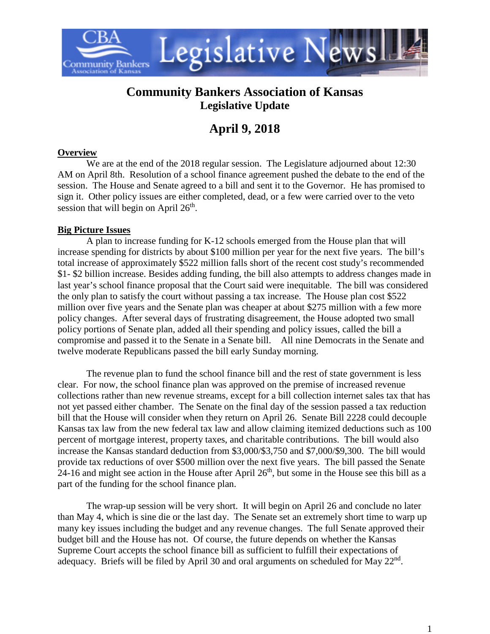

## **Community Bankers Association of Kansas Legislative Update**

# **April 9, 2018**

#### **Overview**

We are at the end of the 2018 regular session. The Legislature adjourned about 12:30 AM on April 8th. Resolution of a school finance agreement pushed the debate to the end of the session. The House and Senate agreed to a bill and sent it to the Governor. He has promised to sign it. Other policy issues are either completed, dead, or a few were carried over to the veto session that will begin on April  $26<sup>th</sup>$ .

#### **Big Picture Issues**

A plan to increase funding for K-12 schools emerged from the House plan that will increase spending for districts by about \$100 million per year for the next five years. The bill's total increase of approximately \$522 million falls short of the recent cost study's recommended \$1- \$2 billion increase. Besides adding funding, the bill also attempts to address changes made in last year's school finance proposal that the Court said were inequitable. The bill was considered the only plan to satisfy the court without passing a tax increase. The House plan cost \$522 million over five years and the Senate plan was cheaper at about \$275 million with a few more policy changes. After several days of frustrating disagreement, the House adopted two small policy portions of Senate plan, added all their spending and policy issues, called the bill a compromise and passed it to the Senate in a Senate bill. All nine Democrats in the Senate and twelve moderate Republicans passed the bill early Sunday morning.

The revenue plan to fund the school finance bill and the rest of state government is less clear. For now, the school finance plan was approved on the premise of increased revenue collections rather than new revenue streams, except for a bill collection internet sales tax that has not yet passed either chamber. The Senate on the final day of the session passed a tax reduction bill that the House will consider when they return on April 26. Senate Bill 2228 could decouple Kansas tax law from the new federal tax law and allow claiming itemized deductions such as 100 percent of mortgage interest, property taxes, and charitable contributions. The bill would also increase the Kansas standard deduction from \$3,000/\$3,750 and \$7,000/\$9,300. The bill would provide tax reductions of over \$500 million over the next five years. The bill passed the Senate  $24-16$  and might see action in the House after April  $26<sup>th</sup>$ , but some in the House see this bill as a part of the funding for the school finance plan.

The wrap-up session will be very short. It will begin on April 26 and conclude no later than May 4, which is sine die or the last day. The Senate set an extremely short time to warp up many key issues including the budget and any revenue changes. The full Senate approved their budget bill and the House has not. Of course, the future depends on whether the Kansas Supreme Court accepts the school finance bill as sufficient to fulfill their expectations of adequacy. Briefs will be filed by April 30 and oral arguments on scheduled for May  $22<sup>nd</sup>$ .